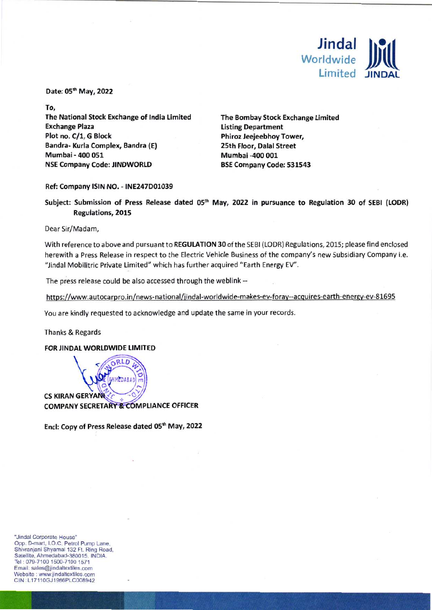

Date: 05<sup>th</sup> May, 2022

**To, The National Stock Exchange of India Limited Exchange Plaza Plot no. C/1, G Block Bandra- Kurla Complex, Bandra (E) Mumbai - 400 051 NSE Company Code: JINDWORLD** 

**The Bombay Stock Exchange Limited Listing Department Phiroz Jeejeebhoy Tower, 25th Floor, Dalal Street Mumbai -400 001 BSE Company Code: 531543** 

## **Ref: Company ISIN NO. - INE247D01039**

**Subject: Submission of Press Release dated 05" May, 2022 in pursuance to Regulation 30 of SEBI (LODR) Regulations, 2015** 

Dear Sir/Madam,

With reference to above and pursuant to **REGULATION 30** of the SEBI (LODR) Regulations, 2015; please find enclosed herewith a Press Release in respect to the Electric Vehicle Business of the company's new Subsidiary Company i.e. "Jindal Mobilitric Private Limited" which has further acquired "Earth Energy EV".

The press release could be also accessed through the weblink --

https://www.autocarpro.in/news-national/jindal-worldwide-makes-ev-foray--acquires-earth-energy-ev-81695

You are kindly requested to acknowledge and update the same in your records.

Thanks & Regards

**FOR JINDAL WORLDWIDE LIMITED** 



Encl: Copy of Press Release dated 05<sup>th</sup> May, 2022

"Jindal Corporate House" Opp. D-mart, I.O.C. Petrol Pump Lane, Shivranjani Shyamal 132 Ft. Ring Road, Satellite, Ahmedabad-380015. INDIA. Tel : 079-7100 1500-7100 1571 Email: sales@jindaltextiles.com Website : www.jindaltextiles.com CIN :L171106J1986PLC008942